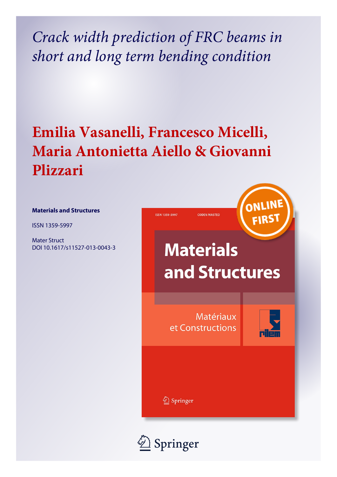*Crack width prediction of FRC beams in short and long term bending condition*

# **Emilia Vasanelli, Francesco Micelli, Maria Antonietta Aiello & Giovanni Plizzari**

Mater Struct

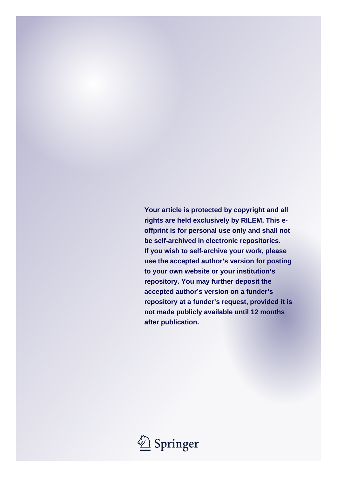**Your article is protected by copyright and all rights are held exclusively by RILEM. This eoffprint is for personal use only and shall not be self-archived in electronic repositories. If you wish to self-archive your work, please use the accepted author's version for posting to your own website or your institution's repository. You may further deposit the accepted author's version on a funder's repository at a funder's request, provided it is not made publicly available until 12 months after publication.**

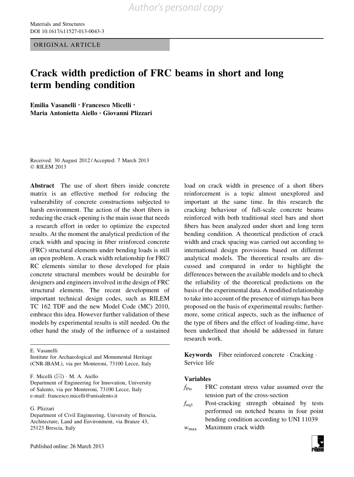ORIGINAL ARTICLE

### Crack width prediction of FRC beams in short and long term bending condition

Emilia Vasanelli • Francesco Micelli • Maria Antonietta Aiello • Giovanni Plizzari

Received: 30 August 2012 / Accepted: 7 March 2013 © RILEM 2013

Abstract The use of short fibers inside concrete matrix is an effective method for reducing the vulnerability of concrete constructions subjected to harsh environment. The action of the short fibers in reducing the crack opening is the main issue that needs a research effort in order to optimize the expected results. At the moment the analytical prediction of the crack width and spacing in fiber reinforced concrete (FRC) structural elements under bending loads is still an open problem. A crack width relationship for FRC/ RC elements similar to those developed for plain concrete structural members would be desirable for designers and engineers involved in the design of FRC structural elements. The recent development of important technical design codes, such as RILEM TC 162 TDF and the new Model Code (MC) 2010, embrace this idea. However further validation of these models by experimental results is still needed. On the other hand the study of the influence of a sustained

E. Vasanelli

Institute for Archaeological and Monumental Heritage (CNR-IBAM.), via per Monteroni, 73100 Lecce, Italy

F. Micelli (&) - M. A. Aiello

Department of Engineering for Innovation, University of Salento, via per Monteroni, 73100 Lecce, Italy e-mail: francesco.micelli@unisalento.it

#### G. Plizzari

load on crack width in presence of a short fibers reinforcement is a topic almost unexplored and important at the same time. In this research the cracking behaviour of full-scale concrete beams reinforced with both traditional steel bars and short fibers has been analyzed under short and long term bending condition. A theoretical prediction of crack width and crack spacing was carried out according to international design provisions based on different analytical models. The theoretical results are discussed and compared in order to highlight the differences between the available models and to check the reliability of the theoretical predictions on the basis of the experimental data. A modified relationship to take into account of the presence of stirrups has been proposed on the basis of experimental results; furthermore, some critical aspects, such as the influence of the type of fibers and the effect of loading-time, have been underlined that should be addressed in future research work.

Keywords Fiber reinforced concrete · Cracking · Service life

#### Variables

- $f_{\text{Fts}}$  FRC constant stress value assumed over the tension part of the cross-section  $f_{\text{eq}}$  Post-cracking strength obtained by tests
- performed on notched beams in four point bending condition according to UNI 11039
- $w_{\text{max}}$  Maximum crack width



Department of Civil Engineering, University of Brescia, Architecture, Land and Environment, via Branze 43, 25123 Brescia, Italy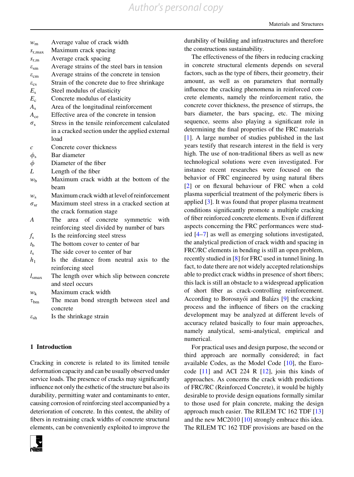- $w<sub>m</sub>$  Average value of crack width
- $s_{\rm r, max}$  Maximum crack spacing
- $s_{r,m}$  Average crack spacing
- $\varepsilon_{\rm sm}$  Average strains of the steel bars in tension
- $\varepsilon_{\rm cm}$  Average strains of the concrete in tension
- $\epsilon_{\rm cs}$  Strain of the concrete due to free shrinkage
- $E<sub>s</sub>$  Steel modulus of elasticity
- $E_c$  Concrete modulus of elasticity
- $A<sub>s</sub>$  Area of the longitudinal reinforcement
- Ace Effective area of the concrete in tension
- $\sigma_s$  Stress in the tensile reinforcement calculated in a cracked section under the applied external load
- $c$  Concrete cover thickness
- $\phi$ <sub>s</sub> Bar diameter
- $\phi$  Diameter of the fiber
- $L$  Length of the fiber
- $w<sub>b</sub>$  Maximum crack width at the bottom of the beam
- $w_s$  Maximum crack width at level of reinforcement
- $\sigma_{sr}$  Maximum steel stress in a cracked section at the crack formation stage
- A The area of concrete symmetric with reinforcing steel divided by number of bars
- $f<sub>s</sub>$  Is the reinforcing steel stress
- $t<sub>b</sub>$  The bottom cover to center of bar
- $t<sub>s</sub>$  The side cover to center of bar
- $h_1$  Is the distance from neutral axis to the reinforcing steel
- $l<sub>smax</sub>$  The length over which slip between concrete and steel occurs
- $w_k$  Maximum crack width
- $\tau_{bm}$  The mean bond strength between steel and concrete
- $\varepsilon_{\rm sh}$  Is the shrinkage strain

#### 1 Introduction

Cracking in concrete is related to its limited tensile deformation capacity and can be usually observed under service loads. The presence of cracks may significantly influence not only the esthetic of the structure but also its durability, permitting water and contaminants to enter, causing corrosion of reinforcing steel accompanied by a deterioration of concrete. In this contest, the ability of fibers in restraining crack widths of concrete structural elements, can be conveniently exploited to improve the



durability of building and infrastructures and therefore the constructions sustainability.

The effectiveness of the fibers in reducing cracking in concrete structural elements depends on several factors, such as the type of fibers, their geometry, their amount, as well as on parameters that normally influence the cracking phenomena in reinforced concrete elements, namely the reinforcement ratio, the concrete cover thickness, the presence of stirrups, the bars diameter, the bars spacing, etc. The mixing sequence, seems also playing a significant role in determining the final properties of the FRC materials [\[1](#page-16-0)]. A large number of studies published in the last years testify that research interest in the field is very high. The use of non-traditional fibers as well as new technological solutions were even investigated. For instance recent researches were focused on the behavior of FRC engineered by using natural fibers [\[2](#page-16-0)] or on flexural behaviour of FRC when a cold plasma superficial treatment of the polymeric fibers is applied [\[3](#page-16-0)]. It was found that proper plasma treatment conditions significantly promote a multiple cracking of fiber reinforced concrete elements. Even if different aspects concerning the FRC performances were studied [[4–7\]](#page-16-0) as well as emerging solutions investigated, the analytical prediction of crack width and spacing in FRC/RC elements in bending is still an open problem, recently studied in [[8\]](#page-16-0) for FRC used in tunnel lining. In fact, to date there are not widely accepted relationships able to predict crack widths in presence of short fibers; this lack is still an obstacle to a widespread application of short fiber as crack-controlling reinforcement. According to Borosnyói and Balázs [\[9](#page-16-0)] the cracking process and the influence of fibers on the cracking development may be analyzed at different levels of accuracy related basically to four main approaches, namely analytical, semi-analytical, empirical and numerical.

For practical uses and design purpose, the second or third approach are normally considered; in fact available Codes, as the Model Code [\[10](#page-16-0)], the Eurocode  $[11]$  $[11]$  and ACI 224 R  $[12]$  $[12]$ , join this kinds of approaches. As concerns the crack width predictions of FRC/RC (Reinforced Concrete), it would be highly desirable to provide design equations formally similar to those used for plain concrete, making the design approach much easier. The RILEM TC 162 TDF [\[13\]](#page-17-0) and the new MC2010 [[10\]](#page-16-0) strongly embrace this idea. The RILEM TC 162 TDF provisions are based on the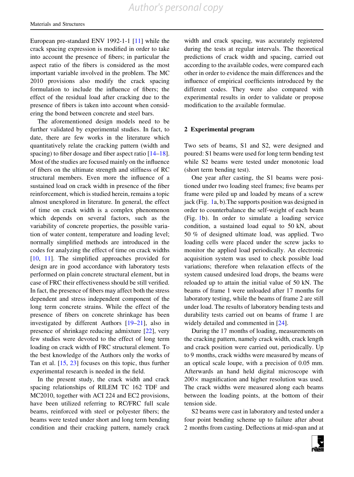European pre-standard ENV 1992-1-1 [\[11](#page-17-0)] while the crack spacing expression is modified in order to take into account the presence of fibers; in particular the aspect ratio of the fibers is considered as the most important variable involved in the problem. The MC 2010 provisions also modify the crack spacing formulation to include the influence of fibers; the effect of the residual load after cracking due to the presence of fibers is taken into account when considering the bond between concrete and steel bars.

The aforementioned design models need to be further validated by experimental studies. In fact, to date, there are few works in the literature which quantitatively relate the cracking pattern (width and spacing) to fiber dosage and fiber aspect ratio  $[14-18]$ . Most of the studies are focused mainly on the influence of fibers on the ultimate strength and stiffness of RC structural members. Even more the influence of a sustained load on crack width in presence of the fiber reinforcement, which is studied herein, remains a topic almost unexplored in literature. In general, the effect of time on crack width is a complex phenomenon which depends on several factors, such as the variability of concrete properties, the possible variation of water content, temperature and loading level; normally simplified methods are introduced in the codes for analyzing the effect of time on crack widths [\[10](#page-16-0), [11\]](#page-17-0). The simplified approaches provided for design are in good accordance with laboratory tests performed on plain concrete structural element, but in case of FRC their effectiveness should be still verified. In fact, the presence of fibers may affect both the stress dependent and stress independent component of the long term concrete strains. While the effect of the presence of fibers on concrete shrinkage has been investigated by different Authors [[19–21\]](#page-17-0), also in presence of shrinkage reducing admixture [\[22](#page-17-0)], very few studies were devoted to the effect of long term loading on crack width of FRC structural element. To the best knowledge of the Authors only the works of Tan et al. [[15,](#page-17-0) [23](#page-17-0)] focuses on this topic, thus further experimental research is needed in the field.

In the present study, the crack width and crack spacing relationships of RILEM TC 162 TDF and MC2010, together with ACI 224 and EC2 provisions, have been utilized referring to RC/FRC full scale beams, reinforced with steel or polyester fibers; the beams were tested under short and long term bending condition and their cracking pattern, namely crack

width and crack spacing, was accurately registered during the tests at regular intervals. The theoretical predictions of crack width and spacing, carried out according to the available codes, were compared each other in order to evidence the main differences and the influence of empirical coefficients introduced by the different codes. They were also compared with experimental results in order to validate or propose modification to the available formulae.

#### 2 Experimental program

Two sets of beams, S1 and S2, were designed and poured: S1 beams were used for long term bending test while S2 beams were tested under monotonic load (short term bending test).

One year after casting, the S1 beams were positioned under two loading steel frames; five beams per frame were piled up and loaded by means of a screw jack (Fig. [1a](#page-5-0), b).The supports position was designed in order to counterbalance the self-weight of each beam (Fig. [1](#page-5-0)b). In order to simulate a loading service condition, a sustained load equal to 50 kN, about 50 % of designed ultimate load, was applied. Two loading cells were placed under the screw jacks to monitor the applied load periodically. An electronic acquisition system was used to check possible load variations; therefore when relaxation effects of the system caused undesired load drops, the beams were reloaded up to attain the initial value of 50 kN. The beams of frame 1 were unloaded after 17 months for laboratory testing, while the beams of frame 2 are still under load. The results of laboratory bending tests and durability tests carried out on beams of frame 1 are widely detailed and commented in [\[24](#page-17-0)].

During the 17 months of loading, measurements on the cracking pattern, namely crack width, crack length and crack position were carried out, periodically. Up to 9 months, crack widths were measured by means of an optical scale loupe, with a precision of 0.05 mm. Afterwards an hand held digital microscope with  $200 \times$  magnification and higher resolution was used. The crack widths were measured along each beams between the loading points, at the bottom of their tension side.

S2 beams were cast in laboratory and tested under a four point bending scheme up to failure after about 2 months from casting. Deflections at mid-span and at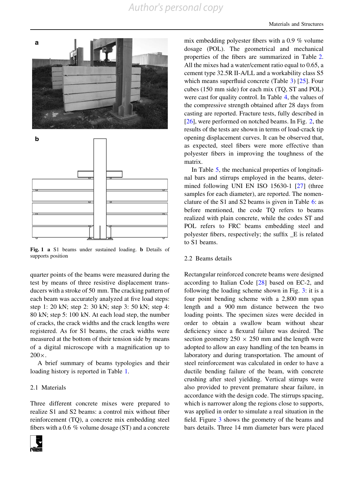<span id="page-5-0"></span>

Fig. 1 a S1 beams under sustained loading. **b** Details of supports position

quarter points of the beams were measured during the test by means of three resistive displacement transducers with a stroke of 50 mm. The cracking pattern of each beam was accurately analyzed at five load steps: step 1: 20 kN; step 2: 30 kN; step 3: 50 kN; step 4: 80 kN; step 5: 100 kN. At each load step, the number of cracks, the crack widths and the crack lengths were registered. As for S1 beams, the crack widths were measured at the bottom of their tension side by means of a digital microscope with a magnification up to  $200 \times$ .

A brief summary of beams typologies and their loading history is reported in Table [1.](#page-6-0)

#### 2.1 Materials

Three different concrete mixes were prepared to realize S1 and S2 beams: a control mix without fiber reinforcement (TQ), a concrete mix embedding steel fibers with a 0.6 % volume dosage (ST) and a concrete



mix embedding polyester fibers with a 0.9 % volume dosage (POL). The geometrical and mechanical properties of the fibers are summarized in Table [2.](#page-6-0) All the mixes had a water/cement ratio equal to 0.65, a cement type 32.5R II-A/LL and a workability class S5 which means superfluid concrete (Table [3\)](#page-6-0) [\[25](#page-17-0)]. Four cubes (150 mm side) for each mix (TQ, ST and POL) were cast for quality control. In Table [4](#page-6-0), the values of the compressive strength obtained after 28 days from casting are reported. Fracture tests, fully described in [\[26](#page-17-0)], were performed on notched beams. In Fig. [2](#page-6-0), the results of the tests are shown in terms of load-crack tip opening displacement curves. It can be observed that, as expected, steel fibers were more effective than polyester fibers in improving the toughness of the matrix.

In Table [5](#page-7-0), the mechanical properties of longitudinal bars and stirrups employed in the beams, determined following UNI EN ISO 15630-1 [\[27](#page-17-0)] (three samples for each diameter), are reported. The nomenclature of the S1 and S2 beams is given in Table [6:](#page-7-0) as before mentioned, the code TQ refers to beams realized with plain concrete, while the codes ST and POL refers to FRC beams embedding steel and polyester fibers, respectively; the suffix \_E is related to S1 beams.

#### 2.2 Beams details

Rectangular reinforced concrete beams were designed according to Italian Code [\[28](#page-17-0)] based on EC-2, and following the loading scheme shown in Fig. [3:](#page-7-0) it is a four point bending scheme with a 2,800 mm span length and a 900 mm distance between the two loading points. The specimen sizes were decided in order to obtain a swallow beam without shear deficiency since a flexural failure was desired. The section geometry  $250 \times 250$  mm and the length were adopted to allow an easy handling of the ten beams in laboratory and during transportation. The amount of steel reinforcement was calculated in order to have a ductile bending failure of the beam, with concrete crushing after steel yielding. Vertical stirrups were also provided to prevent premature shear failure, in accordance with the design code. The stirrups spacing, which is narrower along the regions close to supports, was applied in order to simulate a real situation in the field. Figure [3](#page-7-0) shows the geometry of the beams and bars details. Three 14 mm diameter bars were placed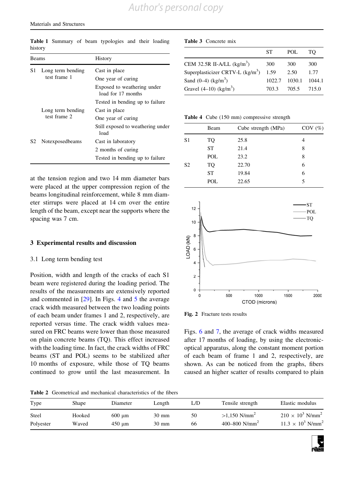| <b>Beams</b>                      |                    | History                                           |  |
|-----------------------------------|--------------------|---------------------------------------------------|--|
| S1                                | Long term bending  | Cast in place                                     |  |
|                                   | test frame 1       | One year of curing                                |  |
|                                   |                    | Exposed to weathering under<br>load for 17 months |  |
|                                   |                    | Tested in bending up to failure                   |  |
| Long term bending<br>test frame 2 | Cast in place      |                                                   |  |
|                                   | One year of curing |                                                   |  |
|                                   |                    | Still exposed to weathering under<br>load         |  |
| S2                                | Notexposedbeams    | Cast in laboratory                                |  |
|                                   |                    | 2 months of curing                                |  |
|                                   |                    | Tested in bending up to failure                   |  |

<span id="page-6-0"></span>Table 1 Summary of beam typologies and their loading history

at the tension region and two 14 mm diameter bars were placed at the upper compression region of the beams longitudinal reinforcement, while 8 mm diameter stirrups were placed at 14 cm over the entire length of the beam, except near the supports where the spacing was 7 cm.

#### 3 Experimental results and discussion

#### 3.1 Long term bending test

Position, width and length of the cracks of each S1 beam were registered during the loading period. The results of the measurements are extensively reported and commented in  $[29]$  $[29]$ . In Figs. [4](#page-7-0) and [5](#page-8-0) the average crack width measured between the two loading points of each beam under frames 1 and 2, respectively, are reported versus time. The crack width values measured on FRC beams were lower than those measured on plain concrete beams (TQ). This effect increased with the loading time. In fact, the crack widths of FRC beams (ST and POL) seems to be stabilized after 10 months of exposure, while those of TQ beams continued to grow until the last measurement. In

#### Table 3 Concrete mix

|                                   | ST.    | POL    | TO     |
|-----------------------------------|--------|--------|--------|
| CEM 32.5R II-A/LL $(kg/m3)$       | 300    | 300    | 300    |
| Superplasticizer CRTV-L $(kg/m3)$ | 1.59   | 2.50   | 1.77   |
| Sand $(0-4)$ (kg/m <sup>3</sup> ) | 1022.7 | 1030.1 | 1044.1 |
| Gravel $(4-10)$ $(kg/m3)$         | 703.3  | 705.5  | 715.0  |

Table 4 Cube (150 mm) compressive strength

|                | Beam      | Cube strength (MPa) | $COV$ $(\%)$ |
|----------------|-----------|---------------------|--------------|
| S <sub>1</sub> | TQ        | 25.8                | 4            |
|                | <b>ST</b> | 21.4                | 8            |
|                | POL       | 23.2                | 8            |
| S <sub>2</sub> | TQ        | 22.70               | 6            |
|                | ST        | 19.84               | 6            |
|                | POL       | 22.65               | 5            |



Fig. 2 Fracture tests results

Figs. [6](#page-8-0) and [7](#page-8-0), the average of crack widths measured after 17 months of loading, by using the electronicoptical apparatus, along the constant moment portion of each beam of frame 1 and 2, respectively, are shown. As can be noticed from the graphs, fibers caused an higher scatter of results compared to plain

Table 2 Geometrical and mechanical characteristics of the fibers

| Type      | Shape  | Diameter | Length          | L/D | Tensile strength           | Elastic modulus                      |
|-----------|--------|----------|-----------------|-----|----------------------------|--------------------------------------|
| Steel     | Hooked | 600 um   | $30 \text{ mm}$ | 50  | $>1.150$ N/mm <sup>2</sup> | $210 \times 10^3$ N/mm <sup>2</sup>  |
| Polyester | Waved  | 450 um   | $30 \text{ mm}$ | 66  | 400–800 $N/mm^2$           | $11.3 \times 10^3$ N/mm <sup>2</sup> |

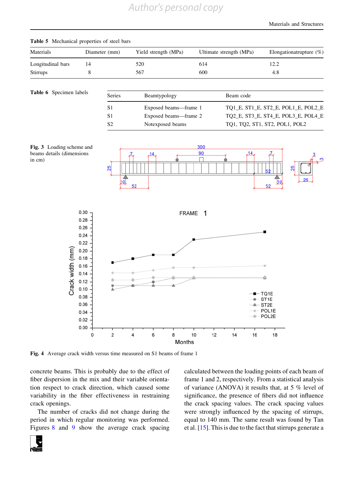| Materials         | Diameter (mm) | Yield strength (MPa) | Ultimate strength (MPa) | Elongationatrupture $(\%)$ |  |  |
|-------------------|---------------|----------------------|-------------------------|----------------------------|--|--|
| Longitudinal bars |               | 520                  | 614                     | 12.2                       |  |  |
| <b>Stirrups</b>   |               | 567                  | 600                     | 4.8                        |  |  |
|                   |               |                      |                         |                            |  |  |

<span id="page-7-0"></span>Table 5 Mechanical properties of steel bars

#### Table 6 Specimen labels

| Series | Beamtypology          | Beam code                           |
|--------|-----------------------|-------------------------------------|
|        | Exposed beams—frame 1 | TQ1_E, ST1_E, ST2_E, POL1_E, POL2_E |
|        | Exposed beams—frame 2 | TQ2_E, ST3_E, ST4_E, POL3_E, POL4_E |
| S2     | Notexposed beams      | TO1, TO2, ST1, ST2, POL1, POL2      |

Fig. 3 Loading scheme and beams details (dimensions in cm)



Fig. 4 Average crack width versus time measured on S1 beams of frame 1

concrete beams. This is probably due to the effect of fiber dispersion in the mix and their variable orientation respect to crack direction, which caused some variability in the fiber effectiveness in restraining crack openings.

The number of cracks did not change during the period in which regular monitoring was performed. Figures [8](#page-8-0) and [9](#page-8-0) show the average crack spacing calculated between the loading points of each beam of frame 1 and 2, respectively. From a statistical analysis of variance (ANOVA) it results that, at 5 % level of significance, the presence of fibers did not influence the crack spacing values. The crack spacing values were strongly influenced by the spacing of stirrups, equal to 140 mm. The same result was found by Tan et al.  $[15]$  $[15]$ . This is due to the fact that stirrups generate a

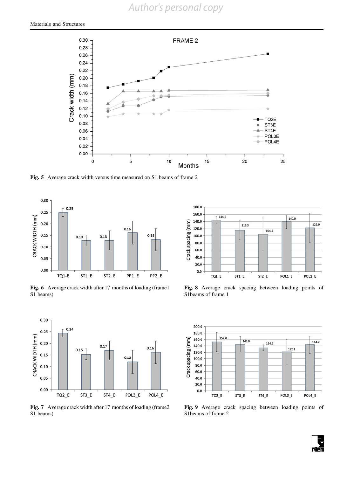<span id="page-8-0"></span>

Fig. 5 Average crack width versus time measured on S1 beams of frame 2



Fig. 6 Average crack width after 17 months of loading (frame1 S1 beams)



Fig. 7 Average crack width after 17 months of loading (frame2 S1 beams)



Fig. 8 Average crack spacing between loading points of S1beams of frame 1



Fig. 9 Average crack spacing between loading points of S1beams of frame 2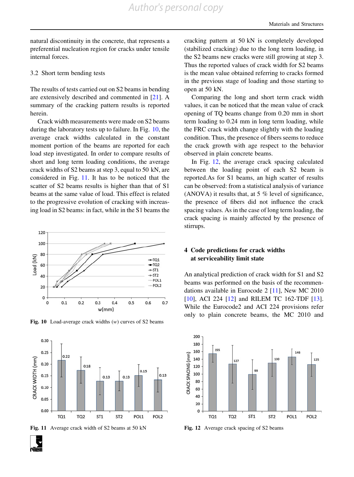natural discontinuity in the concrete, that represents a preferential nucleation region for cracks under tensile internal forces.

#### 3.2 Short term bending tests

The results of tests carried out on S2 beams in bending are extensively described and commented in [[21\]](#page-17-0). A summary of the cracking pattern results is reported herein.

Crack width measurements were made on S2 beams during the laboratory tests up to failure. In Fig. 10, the average crack widths calculated in the constant moment portion of the beams are reported for each load step investigated. In order to compare results of short and long term loading conditions, the average crack widths of S2 beams at step 3, equal to 50 kN, are considered in Fig. 11. It has to be noticed that the scatter of S2 beams results is higher than that of S1 beams at the same value of load. This effect is related to the progressive evolution of cracking with increasing load in S2 beams: in fact, while in the S1 beams the



Fig. 10 Load-average crack widths  $(w)$  curves of S2 beams



Fig. 11 Average crack width of S2 beams at 50 kN Fig. 12 Average crack spacing of S2 beams

cracking pattern at 50 kN is completely developed (stabilized cracking) due to the long term loading, in the S2 beams new cracks were still growing at step 3. Thus the reported values of crack width for S2 beams is the mean value obtained referring to cracks formed in the previous stage of loading and those starting to open at 50 kN.

Comparing the long and short term crack width values, it can be noticed that the mean value of crack opening of TQ beams change from 0.20 mm in short term loading to 0.24 mm in long term loading, while the FRC crack width change slightly with the loading condition. Thus, the presence of fibers seems to reduce the crack growth with age respect to the behavior observed in plain concrete beams.

In Fig. 12, the average crack spacing calculated between the loading point of each S2 beam is reported.As for S1 beams, an high scatter of results can be observed: from a statistical analysis of variance (ANOVA) it results that, at 5 % level of significance, the presence of fibers did not influence the crack spacing values. As in the case of long term loading, the crack spacing is mainly affected by the presence of stirrups.

#### 4 Code predictions for crack widths at serviceability limit state

An analytical prediction of crack width for S1 and S2 beams was performed on the basis of the recommendations available in Eurocode 2 [[11\]](#page-17-0), New MC 2010 [\[10](#page-16-0)], ACI 224 [[12\]](#page-17-0) and RILEM TC 162-TDF [\[13](#page-17-0)]. While the Eurocode2 and ACI 224 provisions refer only to plain concrete beams, the MC 2010 and

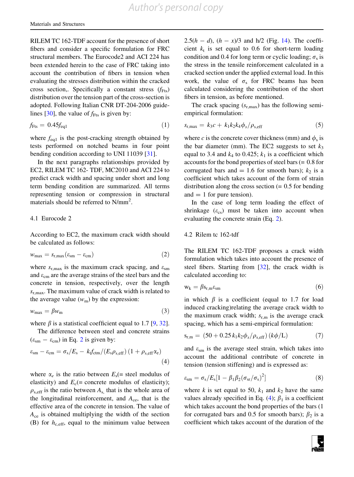<span id="page-10-0"></span>RILEM TC 162-TDF account for the presence of short fibers and consider a specific formulation for FRC structural members. The Eurocode2 and ACI 224 has been extended herein to the case of FRC taking into account the contribution of fibers in tension when evaluating the stresses distribution within the cracked cross section,. Specifically a constant stress  $(f_{Fts})$ distribution over the tension part of the cross-section is adopted. Following Italian CNR DT-204-2006 guide-lines [[30\]](#page-17-0), the value of  $f_{\text{Fts}}$  is given by:

$$
f_{\text{Fts}} = 0.45 f_{\text{eq1}} \tag{1}
$$

where  $f_{eq1}$  is the post-cracking strength obtained by tests performed on notched beams in four point bending condition according to UNI 11039 [[31\]](#page-17-0).

In the next paragraphs relationships provided by EC2, RILEM TC 162- TDF, MC2010 and ACI 224 to predict crack width and spacing under short and long term bending condition are summarized. All terms representing tension or compression in structural materials should be referred to N/mm<sup>2</sup>.

#### 4.1 Eurocode 2

According to EC2, the maximum crack width should be calculated as follows:

$$
w_{\text{max}} = s_{\text{r,max}} (\varepsilon_{\text{sm}} - \varepsilon_{\text{cm}}) \tag{2}
$$

where  $s_{r,\text{max}}$  is the maximum crack spacing, and  $\varepsilon_{\text{sm}}$ and  $\varepsilon_{cm}$  are the average strains of the steel bars and the concrete in tension, respectively, over the length  $s_{r,\text{max}}$ . The maximum value of crack width is related to the average value  $(w<sub>m</sub>)$  by the expression:

$$
w_{\text{max}} = \beta w_{\text{m}} \tag{3}
$$

where  $\beta$  is a statistical coefficient equal to 1.7 [\[9](#page-16-0), [32](#page-17-0)].

The difference between steel and concrete strains  $(\varepsilon_{\rm sm} - \varepsilon_{\rm cm})$  in Eq. 2 is given by:

$$
\varepsilon_{\rm sm} - \varepsilon_{\rm cm} = \sigma_{\rm s}/E_{\rm s} - k_{\rm t} f_{\rm ctm}/(E_{\rm s} \rho_{\rm s,eff}) \left(1 + \rho_{\rm s,eff} \alpha_{\rm e}\right) \tag{4}
$$

where  $\alpha_e$  is the ratio between  $E_s$  = steel modulus of elasticity) and  $E_c$  = concrete modulus of elasticity);  $\rho_{\text{s,eff}}$  is the ratio between  $A_{\text{s}}$ , that is the whole area of the longitudinal reinforcement, and  $A_{ce}$ , that is the effective area of the concrete in tension. The value of  $A_{ce}$  is obtained multiplying the width of the section (B) for  $h_{c,eff}$ , equal to the minimum value between  $2.5(h - d)$ ,  $(h - x)/3$  and h/2 (Fig. [14\)](#page-12-0). The coefficient  $k_t$  is set equal to 0.6 for short-term loading condition and 0.4 for long term or cyclic loading;  $\sigma_s$  is the stress in the tensile reinforcement calculated in a cracked section under the applied external load. In this work, the value of  $\sigma_s$  for FRC beams has been calculated considering the contribution of the short fibers in tension, as before mentioned.

The crack spacing  $(s_{r,\text{max}})$  has the following semiempirical formulation:

$$
s_{\rm r,max} = k_3 c + k_1 k_2 k_4 \phi_s / \rho_{\rm s,eff} \tag{5}
$$

where c is the concrete cover thickness (mm) and  $\phi_s$  is the bar diameter (mm). The EC2 suggests to set  $k_3$ equal to 3.4 and  $k_4$  to 0.425;  $k_1$  is a coefficient which accounts for the bond properties of steel bars (= 0.8 for corrugated bars and = 1.6 for smooth bars);  $k_2$  is a coefficient which takes account of the form of strain distribution along the cross section  $(= 0.5$  for bending and  $= 1$  for pure tension).

In the case of long term loading the effect of shrinkage  $(\varepsilon_{\text{cs}})$  must be taken into account when evaluating the concrete strain (Eq. 2).

#### 4.2 Rilem tc 162-tdf

The RILEM TC 162-TDF proposes a crack width formulation which takes into account the presence of steel fibers. Starting from [[32\]](#page-17-0), the crack width is calculated according to:

$$
w_k = \beta s_{r,m} \varepsilon_{sm} \tag{6}
$$

in which  $\beta$  is a coefficient (equal to 1.7 for load induced cracking)relating the average crack width to the maximum crack width;  $s_{r,m}$  is the average crack spacing, which has a semi-empirical formulation:

$$
s_{r,m} = (50 + 0.25 k_1 k_2 \phi_s / \rho_{s,eff}) (k\phi/L)
$$
 (7)

and  $\varepsilon_{\rm sm}$  is the average steel strain, which takes into account the additional contribute of concrete in tension (tension stiffening) and is expressed as:

$$
\varepsilon_{\rm sm} = \sigma_{\rm s}/E_{\rm s}[1 - \beta_1 \beta_2 (\sigma_{\rm sr}/\sigma_{\rm s})^2]
$$
 (8)

where k is set equal to 50,  $k_1$  and  $k_2$  have the same values already specified in Eq. (4);  $\beta_1$  is a coefficient which takes account the bond properties of the bars (1 for corrugated bars and 0.5 for smooth bars);  $\beta_2$  is a coefficient which takes account of the duration of the

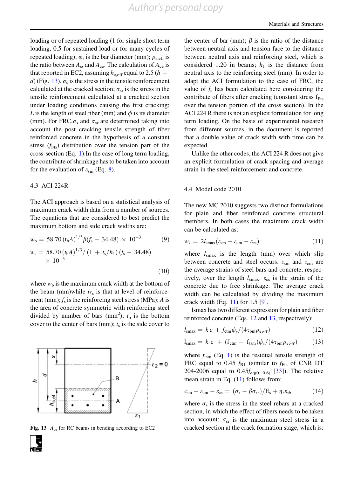$(10)$ 

 $\epsilon_2 = 0$ 

<span id="page-11-0"></span>loading or of repeated loading (1 for single short term loading, 0.5 for sustained load or for many cycles of repeated loading);  $\phi_s$  is the bar diameter (mm);  $\rho_{s,eff}$  is the ratio between  $A_s$ , and  $A_{ce}$ . The calculation of  $A_{ce}$  is that reported in EC2, assuming  $h_{c,eff}$  equal to 2.5 (h – d) (Fig. 13).  $\sigma_s$  is the stress in the tensile reinforcement calculated at the cracked section;  $\sigma_{sr}$  is the stress in the tensile reinforcement calculated at a cracked section under loading conditions causing the first cracking; L is the length of steel fiber (mm) and  $\phi$  is its diameter (mm). For FRC, $\sigma_s$  and  $\sigma_{sr}$  are determined taking into account the post cracking tensile strength of fiber reinforced concrete in the hypothesis of a constant stress  $(f_{Fts})$  distribution over the tension part of the cross-section (Eq. [1\)](#page-10-0).In the case of long term loading, the contribute of shrinkage has to be taken into account for the evaluation of  $\varepsilon_{\rm sm}$  (Eq. [8\)](#page-10-0).

#### 4.3 ACI 224R

The ACI approach is based on a statistical analysis of maximum crack width data from a number of sources. The equations that are considered to best predict the maximum bottom and side crack widths are:

$$
w_{\text{b}} = 58.70 \left( t_{\text{b}} A \right)^{1/3} \beta \left( f_{\text{s}} - 34.48 \right) \times 10^{-3} \tag{9}
$$
  

$$
w_{\text{s}} = 58.70 \left( t_{\text{b}} A \right)^{1/3} / \left( 1 + t_{\text{s}} / h_{1} \right) \left( f_{\text{s}} - 34.48 \right) \times 10^{-3}
$$

where  $w<sub>b</sub>$  is the maximum crack width at the bottom of the beam (mm)while  $w_s$  is that at level of reinforcement (mm);  $f_s$  is the reinforcing steel stress (MPa); A is the area of concrete symmetric with reinforcing steel divided by number of bars (mm<sup>2</sup>);  $t<sub>b</sub>$  is the bottom cover to the center of bars (mm);  $t_s$  is the side cover to

B

 $\overline{\epsilon_1}$ 



the center of bar (mm);  $\beta$  is the ratio of the distance between neutral axis and tension face to the distance between neutral axis and reinforcing steel, which is considered 1.20 in beams;  $h_1$  is the distance from neutral axis to the reinforcing steel (mm). In order to adapt the ACI formulation to the case of FRC, the value of  $f<sub>s</sub>$  has been calculated here considering the contribute of fibers after cracking (constant stress  $f_{Fts}$ ) over the tension portion of the cross section). In the ACI 224 R there is not an explicit formulation for long term loading. On the basis of experimental research from different sources, in the document is reported that a double value of crack width with time can be expected.

Unlike the other codes, the ACI 224 R does not give an explicit formulation of crack spacing and average strain in the steel reinforcement and concrete.

#### 4.4 Model code 2010

The new MC 2010 suggests two distinct formulations for plain and fiber reinforced concrete structural members. In both cases the maximum crack width can be calculated as:

$$
w_{\mathbf{k}} = 2l_{\text{smax}}(\varepsilon_{\text{sm}} - \varepsilon_{\text{cm}} - \varepsilon_{\text{cs}})
$$
 (11)

where  $l_{\text{smax}}$  is the length (mm) over which slip between concrete and steel occurs.  $\varepsilon_{\rm sm}$  and  $\varepsilon_{\rm cm}$  are the average strains of steel bars and concrete, respectively, over the length  $l_{\text{smax}}$ .  $\varepsilon_{\text{cs}}$  is the strain of the concrete due to free shrinkage. The average crack width can be calculated by dividing the maximum crack width  $(Eq. 11)$  for 1.5 [\[9](#page-16-0)].

lsmax has two different expression for plain and fiber reinforced concrete (Eqs. 12 and 13, respectively):

$$
l_{\rm smax} = k c + f_{\rm ctm} \phi_s / (4 \tau_{\rm bm} \rho_{\rm s,eff}) \tag{12}
$$

$$
l_{\rm smax} = k \mathbf{c} + (f_{\rm ctm} - f_{\rm tsm})\phi_{\rm s}/(4\tau_{\rm bm}\rho_{\rm s,eff}) \tag{13}
$$

where  $f_{\text{tsm}}$  (Eq. [1](#page-10-0)) is the residual tensile strength of FRC equal to 0.45  $f_{R1}$  (similar to  $f_{Fts}$  of CNR DT 204-2006 equal to  $0.45f_{eq(0-0.6)}$  [\[33](#page-17-0)]). The relative mean strain in Eq.  $(11)$  follows from:

$$
\varepsilon_{\rm sm} - \varepsilon_{\rm cm} - \varepsilon_{\rm cs} = (\sigma_s - \beta \sigma_{sr}) / E_s + \eta_r \varepsilon_{sh} \tag{14}
$$

where  $\sigma_s$  is the stress in the steel rebars at a cracked section, in which the effect of fibers needs to be taken into account;  $\sigma_{sr}$  is the maximum steel stress in a Fig. 13  $A_{\rm ce}$  for RC beams in bending according to EC2 cracked section at the crack formation stage, which is: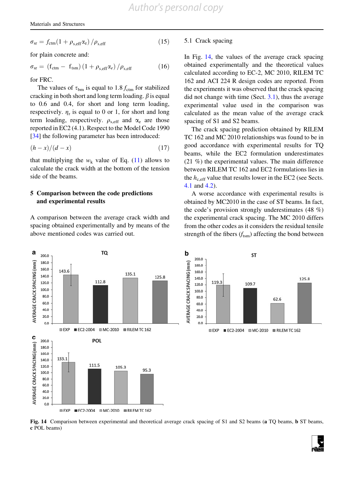<span id="page-12-0"></span>
$$
\sigma_{\rm sr} = f_{\rm ctm} (1 + \rho_{\rm s,eff} \alpha_{\rm e}) / \rho_{\rm s,eff} \tag{15}
$$

for plain concrete and:

$$
\sigma_{\rm sr} = \left( \rm f_{\rm ctm} - \rm f_{\rm tsm} \right) \left( 1 + \rho_{\rm s,eff} \alpha_e \right) / \rho_{\rm s,eff} \tag{16}
$$

for FRC.

The values of  $\tau_{bm}$  is equal to 1.8  $f_{\text{ctm}}$  for stabilized cracking in both short and long term loading.  $\beta$  is equal to 0.6 and 0.4, for short and long term loading, respectively.  $\eta_r$  is equal to 0 or 1, for short and long term loading, respectively.  $\rho_{\text{s,eff}}$  and  $\alpha_{\text{e}}$  are those reported in EC2 (4.1). Respect to the Model Code 1990 [\[34](#page-17-0)] the following parameter has been introduced:

$$
(h-x)/(d-x) \tag{17}
$$

that multiplying the  $w_k$  value of Eq. ([11\)](#page-11-0) allows to calculate the crack width at the bottom of the tension side of the beams.

#### 5 Comparison between the code predictions and experimental results

A comparison between the average crack width and spacing obtained experimentally and by means of the above mentioned codes was carried out.

#### 5.1 Crack spacing

In Fig. 14, the values of the average crack spacing obtained experimentally and the theoretical values calculated according to EC-2, MC 2010, RILEM TC 162 and ACI 224 R design codes are reported. From the experiments it was observed that the crack spacing did not change with time (Sect.  $3.1$ ), thus the average experimental value used in the comparison was calculated as the mean value of the average crack spacing of S1 and S2 beams.

The crack spacing prediction obtained by RILEM TC 162 and MC 2010 relationships was found to be in good accordance with experimental results for TQ beams, while the EC2 formulation underestimates (21 %) the experimental values. The main difference between RILEM TC 162 and EC2 formulations lies in the  $h_{\text{c,eff}}$  value that results lower in the EC2 (see Sects. [4.1](#page-10-0) and [4.2\)](#page-10-0).

A worse accordance with experimental results is obtained by MC2010 in the case of ST beams. In fact, the code's provision strongly underestimates (48 %) the experimental crack spacing. The MC 2010 differs from the other codes as it considers the residual tensile strength of the fibers  $(f_{tsm})$  affecting the bond between



Fig. 14 Comparison between experimental and theoretical average crack spacing of S1 and S2 beams (a TQ beams, b ST beams, c POL beams)

 $125.8$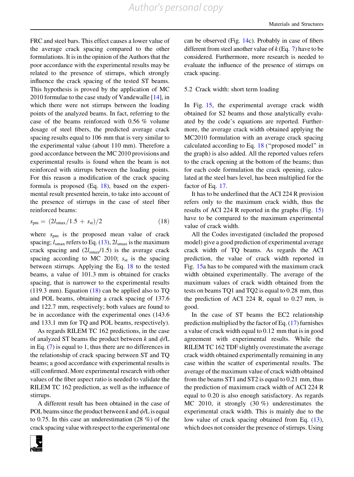<span id="page-13-0"></span>FRC and steel bars. This effect causes a lower value of the average crack spacing compared to the other formulations. It is in the opinion of the Authors that the poor accordance with the experimental results may be related to the presence of stirrups, which strongly influence the crack spacing of the tested ST beams. This hypothesis is proved by the application of MC 2010 formulae to the case study of Vandewalle [[14\]](#page-17-0), in which there were not stirrups between the loading points of the analyzed beams. In fact, referring to the case of the beams reinforced with 0.56 % volume dosage of steel fibers, the predicted average crack spacing results equal to 106 mm that is very similar to the experimental value (about 110 mm). Therefore a good accordance between the MC 2010 provisions and experimental results is found when the beam is not reinforced with stirrups between the loading points. For this reason a modification of the crack spacing formula is proposed  $(Eq. 18)$ , based on the experimental result presented herein, to take into account of the presence of stirrups in the case of steel fiber reinforced beams:

$$
s_{\rm pm} = (2l_{\rm smax}/1.5 + s_{\rm st})/2 \tag{18}
$$

where  $s_{\text{pm}}$  is the proposed mean value of crack spacing;  $l_{\text{smax}}$  refers to Eq. ([13\)](#page-11-0),  $2l_{\text{smax}}$  is the maximum crack spacing and  $(2l<sub>smax</sub>/1.5)$  is the average crack spacing according to MC 2010;  $s_{st}$  is the spacing between stirrups. Applying the Eq. 18 to the tested beams, a value of 101.3 mm is obtained for cracks spacing, that is narrower to the experimental results (119.3 mm). Equation (18) can be applied also to TQ and POL beams, obtaining a crack spacing of 137.6 and 122.7 mm, respectively; both values are found to be in accordance with the experimental ones (143.6 and 133.1 mm for TQ and POL beams, respectively).

As regards RILEM TC 162 predictions, in the case of analyzed ST beams the product between  $k$  and  $\phi/L$ in Eq. [\(7](#page-10-0)) is equal to 1, thus there are no differences in the relationship of crack spacing between ST and TQ beams; a good accordance with experimental results is still confirmed. More experimental research with other values of the fiber aspect ratio is needed to validate the RILEM TC 162 prediction, as well as the influence of stirrups.

A different result has been obtained in the case of POL beams since the product between k and  $\phi$ /L is equal to 0.75. In this case an underestimation (28 %) of the crack spacing value with respect to the experimental one



can be observed (Fig. [14](#page-12-0)c). Probably in case of fibers different from steel another value of  $k$  (Eq. [7](#page-10-0)) have to be considered. Furthermore, more research is needed to evaluate the influence of the presence of stirrups on crack spacing.

#### 5.2 Crack width: short term loading

In Fig. [15](#page-14-0), the experimental average crack width obtained for S2 beams and those analytically evaluated by the code's equations are reported. Furthermore, the average crack width obtained applying the MC2010 formulation with an average crack spacing calculated according to Eq. 18 (''proposed model'' in the graph) is also added. All the reported values refers to the crack opening at the bottom of the beams; thus for each code formulation the crack opening, calculated at the steel bars level, has been multiplied for the factor of Eq. [17](#page-12-0).

It has to be underlined that the ACI 224 R provision refers only to the maximum crack width, thus the results of ACI 224 R reported in the graphs (Fig. [15\)](#page-14-0) have to be compared to the maximum experimental value of crack width.

All the Codes investigated (included the proposed model) give a good prediction of experimental average crack width of TQ beams. As regards the ACI prediction, the value of crack width reported in Fig. [15a](#page-14-0) has to be compared with the maximum crack width obtained experimentally. The average of the maximum values of crack width obtained from the tests on beams TQ1 and TQ2 is equal to 0.28 mm, thus the prediction of ACI 224 R, equal to 0.27 mm, is good.

In the case of ST beams the EC2 relationship prediction multiplied by the factor of Eq. ([17\)](#page-12-0) furnishes a value of crack width equal to 0.12 mm that is in good agreement with experimental results. While the RILEM TC 162 TDF slightly overestimate the average crack width obtained experimentally remaining in any case within the scatter of experimental results. The average of the maximum value of crack width obtained from the beams ST1 and ST2 is equal to 0.21 mm, thus the prediction of maximum crack width of ACI 224 R equal to 0.20 is also enough satisfactory. As regards MC 2010, it strongly (30 %) underestimates the experimental crack width. This is mainly due to the low value of crack spacing obtained from Eq. [\(13](#page-11-0)), which does not consider the presence of stirrups. Using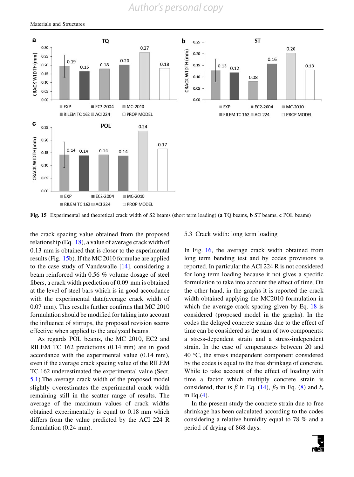<span id="page-14-0"></span>

Fig. 15 Experimental and theoretical crack width of S2 beams (short term loading) (a TQ beams, b ST beams, c POL beams)

the crack spacing value obtained from the proposed relationship (Eq. [18\)](#page-13-0), a value of average crack width of 0.13 mm is obtained that is closer to the experimental results (Fig. 15b). If the MC 2010 formulae are applied to the case study of Vandewalle [[14\]](#page-17-0), considering a beam reinforced with 0.56 % volume dosage of steel fibers, a crack width prediction of 0.09 mm is obtained at the level of steel bars which is in good accordance with the experimental data(average crack width of 0.07 mm). This results further confirms that MC 2010 formulation should be modified for taking into account the influence of stirrups, the proposed revision seems effective when applied to the analyzed beams.

As regards POL beams, the MC 2010, EC2 and RILEM TC 162 predictions (0.14 mm) are in good accordance with the experimental value (0.14 mm), even if the average crack spacing value of the RILEM TC 162 underestimated the experimental value (Sect. [5.1](#page-12-0)).The average crack width of the proposed model slightly overestimates the experimental crack width remaining still in the scatter range of results. The average of the maximum values of crack widths obtained experimentally is equal to 0.18 mm which differs from the value predicted by the ACI 224 R formulation (0.24 mm).

#### 5.3 Crack width: long term loading

In Fig. [16](#page-15-0), the average crack width obtained from long term bending test and by codes provisions is reported. In particular the ACI 224 R is not considered for long term loading because it not gives a specific formulation to take into account the effect of time. On the other hand, in the graphs it is reported the crack width obtained applying the MC2010 formulation in which the average crack spacing given by Eq. [18](#page-13-0) is considered (proposed model in the graphs). In the codes the delayed concrete strains due to the effect of time can be considered as the sum of two components: a stress-dependent strain and a stress-independent strain. In the case of temperatures between 20 and  $40^{\circ}$ C, the stress independent component considered by the codes is equal to the free shrinkage of concrete. While to take account of the effect of loading with time a factor which multiply concrete strain is considered, that is  $\beta$  in Eq. ([14\)](#page-11-0),  $\beta_2$  in Eq. ([8\)](#page-10-0) and  $k_t$ in Eq. $(4)$  $(4)$ .

In the present study the concrete strain due to free shrinkage has been calculated according to the codes considering a relative humidity equal to 78 % and a period of drying of 868 days.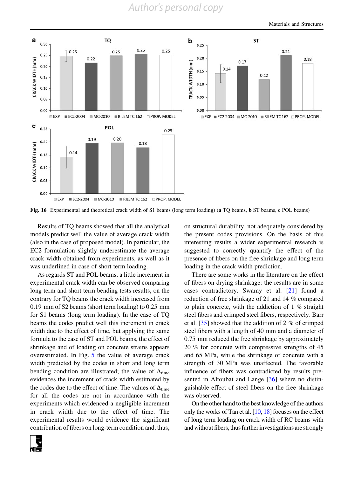*Author's personal copy*

<span id="page-15-0"></span>a **TQ** 0.30 0.26  $0.25$  $0.25$  $0.25$  $0.25$  $0.22$ CRACK WIDTH (mm) CRACK WIDTH (mm)  $0.20$  $0.15$  $0.10$  $0.05$  $0.00$ **D** PROP. MODEL  $E(XF)$ ■EC2-2004 ■MC-2010  $RILEMTC162$ C POL  $0.25$  $0.23$  $0.20$  $0.19$  $0.20$  $0.18$ CRACK WIDTH (mm)  $0.14$  $0.15$  $0.10$  $0.05$  $0.00$  $\Box$  EXP ■EC2-2004 ■ MC-2010 RILEM TC 162 **DPROP. MODEL** 





Fig. 16 Experimental and theoretical crack width of S1 beams (long term loading) (a TQ beams, b ST beams, c POL beams)

Results of TQ beams showed that all the analytical models predict well the value of average crack width (also in the case of proposed model). In particular, the EC2 formulation slightly underestimate the average crack width obtained from experiments, as well as it was underlined in case of short term loading.

As regards ST and POL beams, a little increment in experimental crack width can be observed comparing long term and short term bending tests results, on the contrary for TQ beams the crack width increased from 0.19 mm of S2 beams (short term loading) to 0.25 mm for S1 beams (long term loading). In the case of TQ beams the codes predict well this increment in crack width due to the effect of time, but applying the same formula to the case of ST and POL beams, the effect of shrinkage and of loading on concrete strains appears overestimated. In Fig. [5](#page-8-0) the value of average crack width predicted by the codes in short and long term bending condition are illustrated; the value of  $\Delta_{time}$ evidences the increment of crack width estimated by the codes due to the effect of time. The values of  $\Delta_{time}$ for all the codes are not in accordance with the experiments which evidenced a negligible increment in crack width due to the effect of time. The experimental results would evidence the significant contribution of fibers on long-term condition and, thus,



on structural durability, not adequately considered by the present codes provisions. On the basis of this interesting results a wider experimental research is suggested to correctly quantify the effect of the presence of fibers on the free shrinkage and long term loading in the crack width prediction.

There are some works in the literature on the effect of fibers on drying shrinkage: the results are in some cases contradictory. Swamy et al. [[21\]](#page-17-0) found a reduction of free shrinkage of 21 and 14 % compared to plain concrete, with the addiction of  $1\%$  straight steel fibers and crimped steel fibers, respectively. Barr et al. [\[35](#page-17-0)] showed that the addition of 2 % of crimped steel fibers with a length of 40 mm and a diameter of 0.75 mm reduced the free shrinkage by approximately 20 % for concrete with compressive strengths of 45 and 65 MPa, while the shrinkage of concrete with a strength of 30 MPa was unaffected. The favorable influence of fibers was contradicted by results presented in Altoubat and Lange [\[36](#page-17-0)] where no distinguishable effect of steel fibers on the free shrinkage was observed.

On the other hand to the best knowledge of the authors only the works of Tan et al.  $[10, 18]$  $[10, 18]$  $[10, 18]$  $[10, 18]$  $[10, 18]$  focuses on the effect of long term loading on crack width of RC beams with and without fibers, thus further investigations are strongly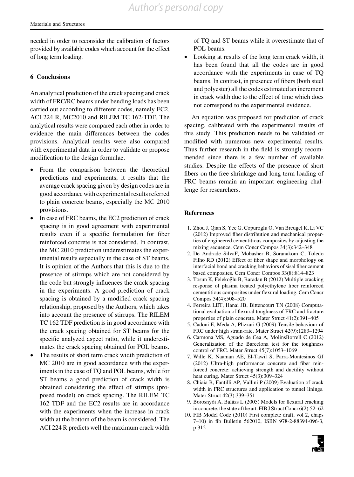<span id="page-16-0"></span>needed in order to reconsider the calibration of factors provided by available codes which account for the effect of long term loading.

#### 6 Conclusions

An analytical prediction of the crack spacing and crack width of FRC/RC beams under bending loads has been carried out according to different codes, namely EC2, ACI 224 R, MC2010 and RILEM TC 162-TDF. The analytical results were compared each other in order to evidence the main differences between the codes provisions. Analytical results were also compared with experimental data in order to validate or propose modification to the design formulae.

- From the comparison between the theoretical predictions and experiments, it results that the average crack spacing given by design codes are in good accordance with experimental results referred to plain concrete beams, especially the MC 2010 provisions.
- In case of FRC beams, the EC2 prediction of crack spacing is in good agreement with experimental results even if a specific formulation for fiber reinforced concrete is not considered. In contrast, the MC 2010 prediction underestimates the experimental results especially in the case of ST beams. It is opinion of the Authors that this is due to the presence of stirrups which are not considered by the code but strongly influences the crack spacing in the experiments. A good prediction of crack spacing is obtained by a modified crack spacing relationship, proposed by the Authors, which takes into account the presence of stirrups. The RILEM TC 162 TDF prediction is in good accordance with the crack spacing obtained for ST beams for the specific analyzed aspect ratio, while it underestimates the crack spacing obtained for POL beams.
- The results of short term crack width prediction of MC 2010 are in good accordance with the experiments in the case of TQ and POL beams, while for ST beams a good prediction of crack width is obtained considering the effect of stirrups (proposed model) on crack spacing. The RILEM TC 162 TDF and the EC2 results are in accordance with the experiments when the increase in crack width at the bottom of the beam is considered. The ACI 224 R predicts well the maximum crack width

of TQ and ST beams while it overestimate that of POL beams.

• Looking at results of the long term crack width, it has been found that all the codes are in good accordance with the experiments in case of TQ beams. In contrast, in presence of fibers (both steel and polyester) all the codes estimated an increment in crack width due to the effect of time which does not correspond to the experimental evidence.

An equation was proposed for prediction of crack spacing, calibrated with the experimental results of this study. This prediction needs to be validated or modified with numerous new experimental results. Thus further research in the field is strongly recommended since there is a few number of available studies. Despite the effects of the presence of short fibers on the free shrinkage and long term loading of FRC beams remain an important engineering challenge for researchers.

#### References

- 1. Zhou J, Qian S, Yec G, Copuroglu O, Van Breugel K, Li VC (2012) Improved fiber distribution and mechanical properties of engineered cementitious composites by adjusting the mixing sequence. Cem Concr Compos 34(3):342–348
- 2. De Andrade SilvaF, Mobasher B, Soranakom C, Toledo Filho RD (2012) Effect of fiber shape and morphology on interfacial bond and cracking behaviors of sisal fiber cement based composites. Cem Concr Compos 33(8):814–823
- 3. Tosun K, Felekoğlu B, Baradan B (2012) Multiple cracking response of plasma treated polyethylene fiber reinforced cementitious composites under flexural loading. Cem Concr Compos 34(4):508–520
- 4. Ferreira LET, Hanai JB, Bittencourt TN (2008) Computational evaluation of flexural toughness of FRC and fracture properties of plain concrete. Mater Struct 41(2):391–405
- 5. Cadoni E, Meda A, Plizzari G (2009) Tensile behaviour of FRC under high strain-rate. Mater Struct 42(9):1283–1294
- 6. Carmona MS, Aguado de Cea A, MolinsBorrell C (2012) Generalization of the Barcelona test for the toughness control of FRC. Mater Struct 45(7):1053–1069
- 7. Wille K, Naaman AE, El-Tawil S, Parra-Montesinos GJ (2012) Ultra-high performance concrete and fiber reinforced concrete: achieving strength and ductility without heat curing. Mater Struct 45(3):309–324
- 8. Chiaia B, Fantilli AP, Vallini P (2009) Evaluation of crack width in FRC structures and application to tunnel linings. Mater Struct 42(3):339–351
- 9. Borosnyói A, Balázs L (2005) Models for flexural cracking in concrete: the state of the art. FIB J Struct Concr 6(2):52–62
- 10. FIB Model Code (2010) First complete draft, vol 2, chaps 7–10) in fib Bulletin 562010, ISBN 978-2-88394-096-3, p 312